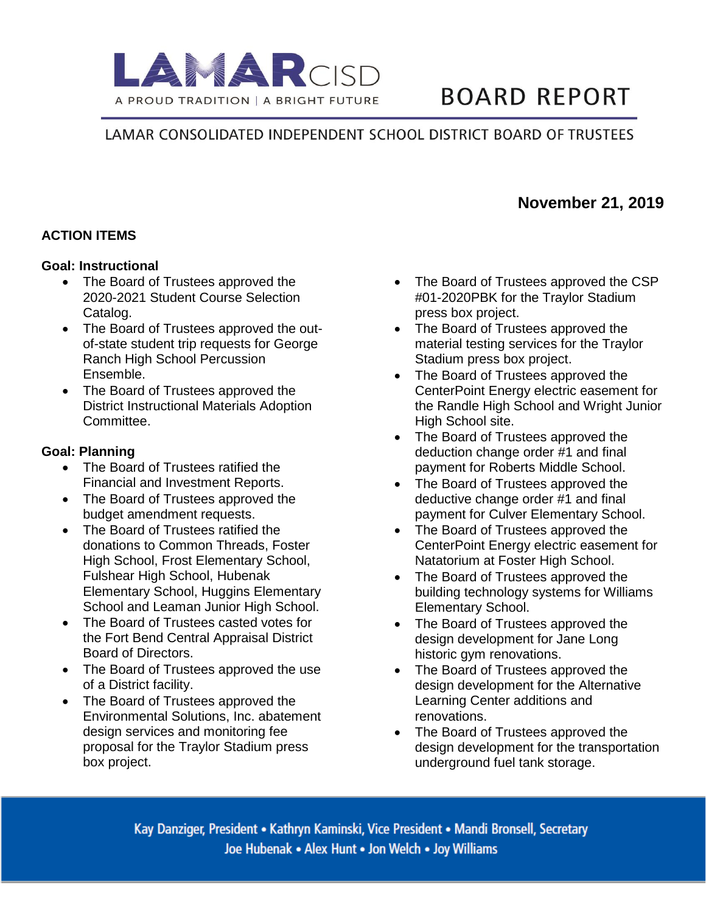

# **BOARD REPORT**

# LAMAR CONSOLIDATED INDEPENDENT SCHOOL DISTRICT BOARD OF TRUSTEES

# **ACTION ITEMS**

#### **Goal: Instructional**

- The Board of Trustees approved the 2020-2021 Student Course Selection Catalog.
- The Board of Trustees approved the outof-state student trip requests for George Ranch High School Percussion Ensemble.
- The Board of Trustees approved the District Instructional Materials Adoption Committee.

#### **Goal: Planning**

- The Board of Trustees ratified the Financial and Investment Reports.
- The Board of Trustees approved the budget amendment requests.
- The Board of Trustees ratified the donations to Common Threads, Foster High School, Frost Elementary School, Fulshear High School, Hubenak Elementary School, Huggins Elementary School and Leaman Junior High School.
- The Board of Trustees casted votes for the Fort Bend Central Appraisal District Board of Directors.
- The Board of Trustees approved the use of a District facility.
- The Board of Trustees approved the Environmental Solutions, Inc. abatement design services and monitoring fee proposal for the Traylor Stadium press box project.
- The Board of Trustees approved the CSP #01-2020PBK for the Traylor Stadium press box project.
- The Board of Trustees approved the material testing services for the Traylor Stadium press box project.
- The Board of Trustees approved the CenterPoint Energy electric easement for the Randle High School and Wright Junior High School site.
- The Board of Trustees approved the deduction change order #1 and final payment for Roberts Middle School.
- The Board of Trustees approved the deductive change order #1 and final payment for Culver Elementary School.
- The Board of Trustees approved the CenterPoint Energy electric easement for Natatorium at Foster High School.
- The Board of Trustees approved the building technology systems for Williams Elementary School.
- The Board of Trustees approved the design development for Jane Long historic gym renovations.
- The Board of Trustees approved the design development for the Alternative Learning Center additions and renovations.
- The Board of Trustees approved the design development for the transportation underground fuel tank storage.

Kay Danziger, President • Kathryn Kaminski, Vice President • Mandi Bronsell, Secretary Joe Hubenak . Alex Hunt . Jon Welch . Joy Williams

# **November 21, 2019**